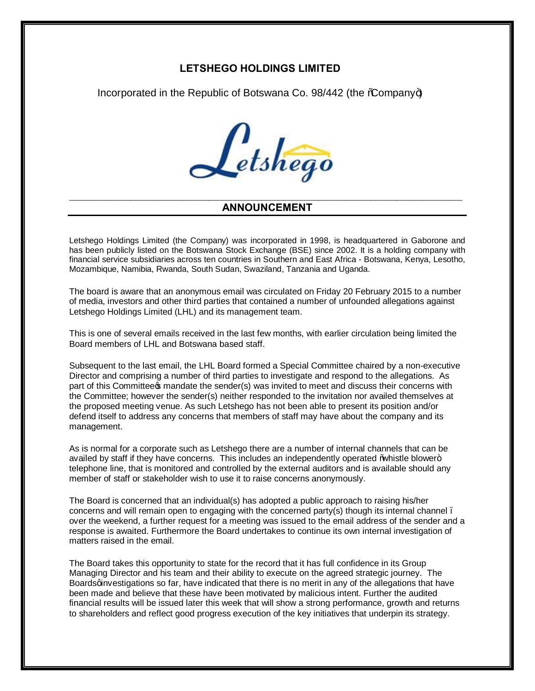## **LETSHEGO HOLDINGS LIMITED**

Incorporated in the Republic of Botswana Co. 98/442 (the  $\%$ ompany+)



## $\_$  ,  $\_$  ,  $\_$  ,  $\_$  ,  $\_$  ,  $\_$  ,  $\_$  ,  $\_$  ,  $\_$  ,  $\_$  ,  $\_$  ,  $\_$  ,  $\_$  ,  $\_$  ,  $\_$  ,  $\_$  ,  $\_$  ,  $\_$  ,  $\_$  ,  $\_$  ,  $\_$  ,  $\_$  ,  $\_$  ,  $\_$  ,  $\_$  ,  $\_$  ,  $\_$  ,  $\_$  ,  $\_$  ,  $\_$  ,  $\_$  ,  $\_$  ,  $\_$  ,  $\_$  ,  $\_$  ,  $\_$  ,  $\_$  , **ANNOUNCEMENT**

Letshego Holdings Limited (the Company) was incorporated in 1998, is headquartered in Gaborone and has been publicly listed on the Botswana Stock Exchange (BSE) since 2002. It is a holding company with financial service subsidiaries across ten countries in Southern and East Africa - Botswana, Kenya, Lesotho, Mozambique, Namibia, Rwanda, South Sudan, Swaziland, Tanzania and Uganda.

The board is aware that an anonymous email was circulated on Friday 20 February 2015 to a number of media, investors and other third parties that contained a number of unfounded allegations against Letshego Holdings Limited (LHL) and its management team.

This is one of several emails received in the last few months, with earlier circulation being limited the Board members of LHL and Botswana based staff.

Subsequent to the last email, the LHL Board formed a Special Committee chaired by a non-executive Director and comprising a number of third parties to investigate and respond to the allegations. As part of this Committee  $\phi$  mandate the sender(s) was invited to meet and discuss their concerns with the Committee; however the sender(s) neither responded to the invitation nor availed themselves at the proposed meeting venue. As such Letshego has not been able to present its position and/or defend itself to address any concerns that members of staff may have about the company and its management.

As is normal for a corporate such as Letshego there are a number of internal channels that can be availed by staff if they have concerns. This includes an independently operated "whistle blower+ telephone line, that is monitored and controlled by the external auditors and is available should any member of staff or stakeholder wish to use it to raise concerns anonymously.

The Board is concerned that an individual(s) has adopted a public approach to raising his/her concerns and will remain open to engaging with the concerned party(s) though its internal channel. over the weekend, a further request for a meeting was issued to the email address of the sender and a response is awaited. Furthermore the Board undertakes to continue its own internal investigation of matters raised in the email.

 The Board takes this opportunity to state for the record that it has full confidence in its Group Managing Director and his team and their ability to execute on the agreed strategic journey. The Boardsginvestigations so far, have indicated that there is no merit in any of the allegations that have been made and believe that these have been motivated by malicious intent. Further the audited financial results will be issued later this week that will show a strong performance, growth and returns to shareholders and reflect good progress execution of the key initiatives that underpin its strategy.